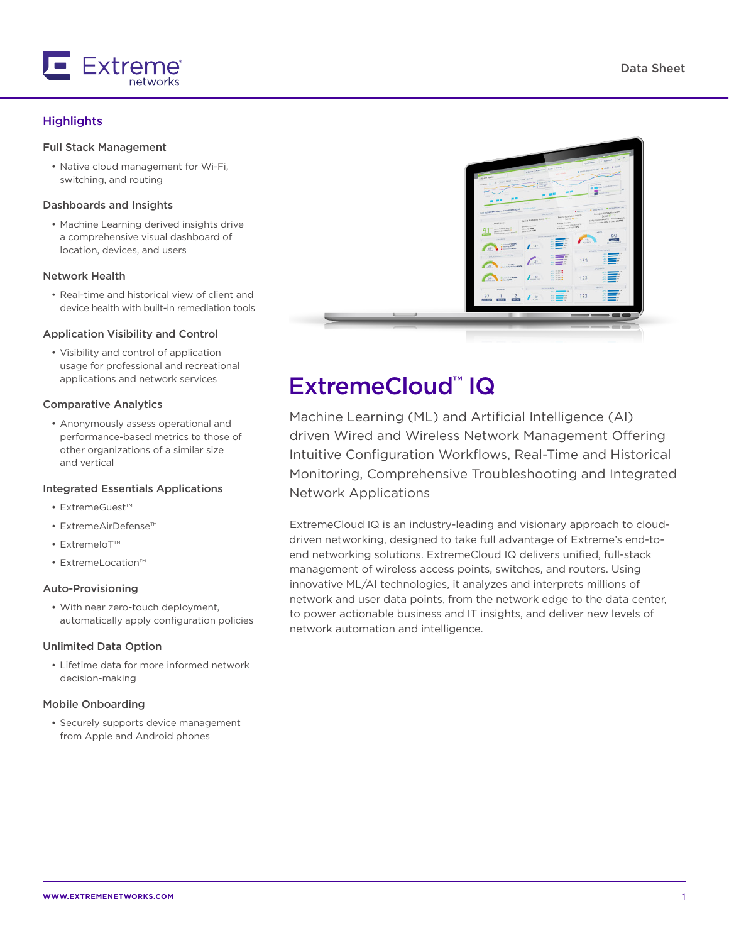

# **Highlights**

### Full Stack Management

• Native cloud management for Wi-Fi, switching, and routing

### Dashboards and Insights

• Machine Learning derived insights drive a comprehensive visual dashboard of location, devices, and users

#### Network Health

• Real-time and historical view of client and device health with built-in remediation tools

#### Application Visibility and Control

• Visibility and control of application usage for professional and recreational applications and network services

#### Comparative Analytics

• Anonymously assess operational and performance-based metrics to those of other organizations of a similar size and vertical

#### Integrated Essentials Applications

- ExtremeGuest™
- ExtremeAirDefense™
- ExtremeIoT™
- ExtremeLocation™

#### Auto-Provisioning

• With near zero-touch deployment, automatically apply configuration policies

### Unlimited Data Option

• Lifetime data for more informed network decision-making

#### Mobile Onboarding

• Securely supports device management from Apple and Android phones

|                          | a x<br>cancers & model<br>· Professional · Cold · Cash<br>stress Analysis and South<br>$\bullet$<br><b>DAVCE FINAN</b><br>time limit have such don't<br>$\frac{1}{2}$<br>$\sim$<br>parking for<br><b>CONTRACTOR</b><br><b>COM</b> Ford State With Chinese<br>i Gr<br>×<br><b>COLOR</b><br>۰<br>$\sim$<br><b>Brown on Branche In Characteristics</b><br>FOR REPORTS SERVICE POWER LEADER<br>$\sim$<br>Companies & Females<br><b>MAGAZIN</b><br><b>Dayon Hardward Health</b><br>Stark to 10<br>Gold Schedolers   Pantry Month<br>$5000$ $\overline{\rm{70}}$ $^{-1}$<br><b>Device Publishing Sease 44 ---</b><br>Conservation of the Party of Conservation<br>ANYQUOLEN<br>OWNERSY<br>Amgedomery (Country SPS)<br><b>CHARGE BURNS</b><br>Alloyal Form Supply King<br><b>Bally Automobile We</b><br><b>Marine Labor</b><br>g<br><b><i>Delivering Link</i></b><br><b>ARS</b><br><b>Grigorie Homewhere</b> or<br>99<br><b>ANGELES</b><br>$-1$<br>13<br>Shares show<br>A current weapon<br>$\mathcal{L}^{\text{ur}}$<br><b>B Score's Direct</b><br>881<br><b>BELLEVILLE</b><br><b>EWARD CONSTRUCTS</b><br><b>APP</b><br>An O Members for<br><b>SEVILLE AND ANNUAL CONTRACT</b><br>And a second con-<br>Although the<br>123<br>519<br>$\frac{1}{2} \frac{1}{2} \frac{1}{2} \frac{1}{2} \frac{1}{2} \frac{1}{2} \frac{1}{2} \frac{1}{2} \frac{1}{2} \frac{1}{2} \frac{1}{2} \frac{1}{2} \frac{1}{2} \frac{1}{2} \frac{1}{2} \frac{1}{2} \frac{1}{2} \frac{1}{2} \frac{1}{2} \frac{1}{2} \frac{1}{2} \frac{1}{2} \frac{1}{2} \frac{1}{2} \frac{1}{2} \frac{1}{2} \frac{1}{2} \frac{1}{2} \frac{1}{2} \frac{1}{2} \frac{1}{2} \frac{$<br>APIZ<br>$\sim$<br>pouret.<br>٠<br>ALC: NOW .<br><b>WAS RESOURNED</b><br>part will be<br>$12^n$<br>123<br><b><i>BONDACHER</i></b><br><b>ANTISTIC</b><br>56<br><b>MAGAZINE</b><br>AP 1<br><b>EQUIVALENT</b><br>pagement.<br>$+100$<br>mackets and Or-<br>m<br>NAVILLE<br>$\blacksquare$<br><b>Service</b><br><b>CONTROL</b><br>123<br>E<br>97<br>$15^{\circ}$<br><b>COLOR</b> |
|--------------------------|------------------------------------------------------------------------------------------------------------------------------------------------------------------------------------------------------------------------------------------------------------------------------------------------------------------------------------------------------------------------------------------------------------------------------------------------------------------------------------------------------------------------------------------------------------------------------------------------------------------------------------------------------------------------------------------------------------------------------------------------------------------------------------------------------------------------------------------------------------------------------------------------------------------------------------------------------------------------------------------------------------------------------------------------------------------------------------------------------------------------------------------------------------------------------------------------------------------------------------------------------------------------------------------------------------------------------------------------------------------------------------------------------------------------------------------------------------------------------------------------------------------------------------------------------------------------------------------------------------------------------------------------------------------------------------------------------------------------------------------------------------------------------------------------------------------------------------------------------------------------------------------------------------------------------------------------------------------------------------------------------------|
| $\overline{\phantom{a}}$ | $\qquad \qquad \blacksquare$<br>×                                                                                                                                                                                                                                                                                                                                                                                                                                                                                                                                                                                                                                                                                                                                                                                                                                                                                                                                                                                                                                                                                                                                                                                                                                                                                                                                                                                                                                                                                                                                                                                                                                                                                                                                                                                                                                                                                                                                                                          |

# ExtremeCloud™ IQ

Machine Learning (ML) and Artificial Intelligence (AI) driven Wired and Wireless Network Management Offering Intuitive Configuration Workflows, Real-Time and Historical Monitoring, Comprehensive Troubleshooting and Integrated Network Applications

ExtremeCloud IQ is an industry-leading and visionary approach to clouddriven networking, designed to take full advantage of Extreme's end-toend networking solutions. ExtremeCloud IQ delivers unified, full-stack management of wireless access points, switches, and routers. Using innovative ML/AI technologies, it analyzes and interprets millions of network and user data points, from the network edge to the data center, to power actionable business and IT insights, and deliver new levels of network automation and intelligence.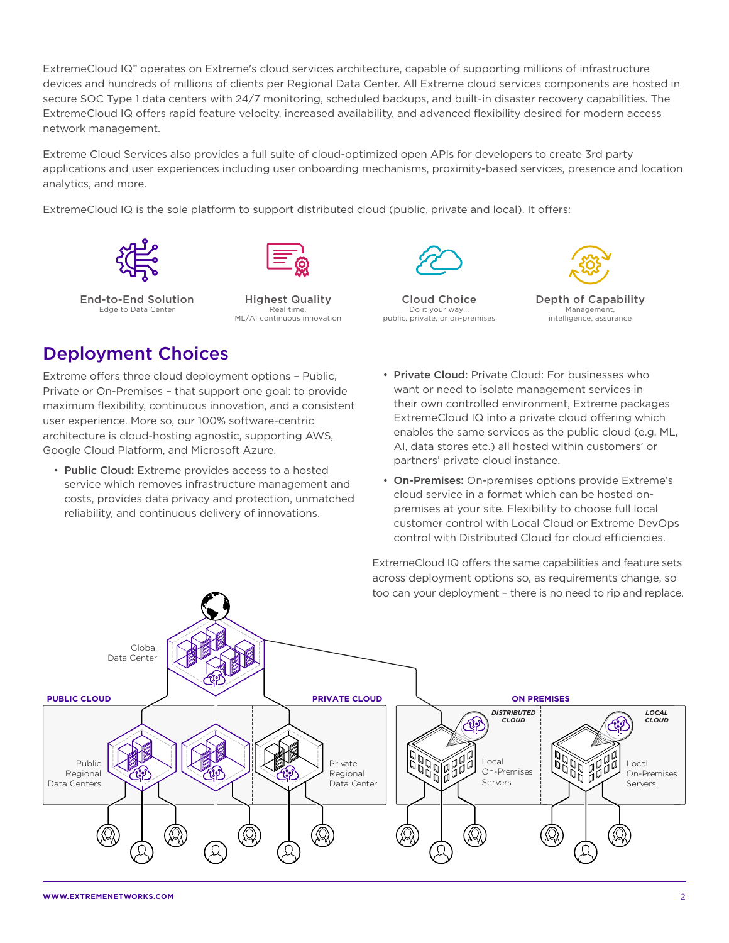ExtremeCloud IQ™ operates on Extreme's cloud services architecture, capable of supporting millions of infrastructure devices and hundreds of millions of clients per Regional Data Center. All Extreme cloud services components are hosted in secure SOC Type 1 data centers with 24/7 monitoring, scheduled backups, and built-in disaster recovery capabilities. The ExtremeCloud IQ offers rapid feature velocity, increased availability, and advanced flexibility desired for modern access network management.

Extreme Cloud Services also provides a full suite of cloud-optimized open APIs for developers to create 3rd party applications and user experiences including user onboarding mechanisms, proximity-based services, presence and location analytics, and more.

ExtremeCloud IQ is the sole platform to support distributed cloud (public, private and local). It offers:





End-to-End Solution Edge to Data Center

Highest Quality Real time, ML/AI continuous innovation



Cloud Choice Do it your way... public, private, or on-premises



Depth of Capability Management, intelligence, assurance

# Deployment Choices

Extreme offers three cloud deployment options – Public, Private or On-Premises – that support one goal: to provide maximum flexibility, continuous innovation, and a consistent user experience. More so, our 100% software-centric architecture is cloud-hosting agnostic, supporting AWS, Google Cloud Platform, and Microsoft Azure.

- Public Cloud: Extreme provides access to a hosted service which removes infrastructure management and costs, provides data privacy and protection, unmatched reliability, and continuous delivery of innovations.
- Private Cloud: Private Cloud: For businesses who want or need to isolate management services in their own controlled environment, Extreme packages ExtremeCloud IQ into a private cloud offering which enables the same services as the public cloud (e.g. ML, AI, data stores etc.) all hosted within customers' or partners' private cloud instance.
- On-Premises: On-premises options provide Extreme's cloud service in a format which can be hosted onpremises at your site. Flexibility to choose full local customer control with Local Cloud or Extreme DevOps control with Distributed Cloud for cloud efficiencies.

ExtremeCloud IQ offers the same capabilities and feature sets across deployment options so, as requirements change, so too can your deployment – there is no need to rip and replace.

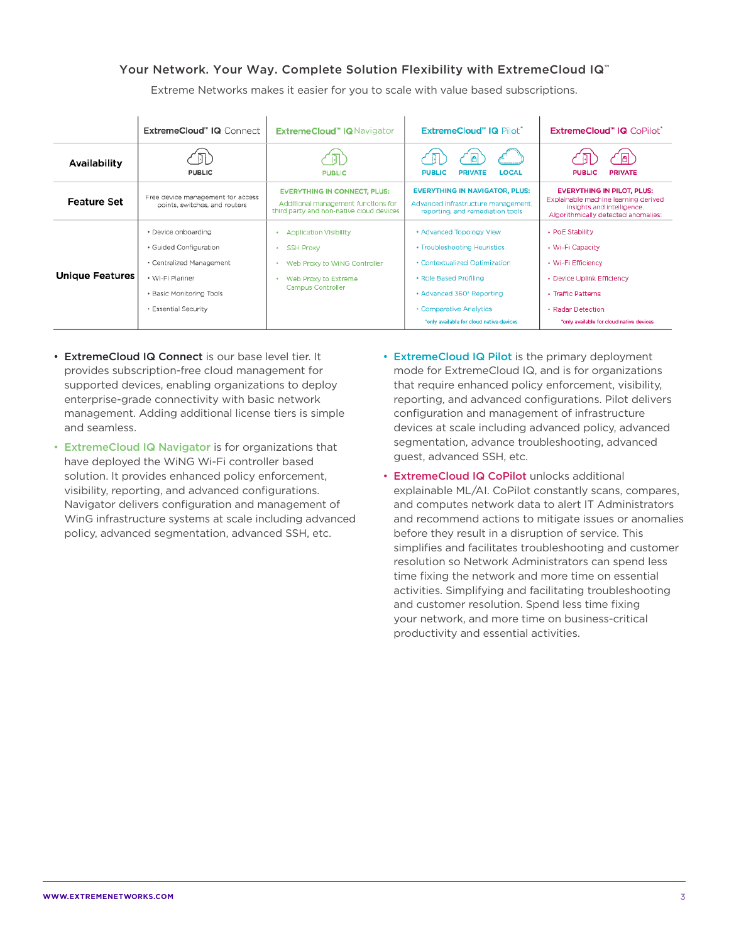# Your Network. Your Way. Complete Solution Flexibility with ExtremeCloud IQ™

Extreme Networks makes it easier for you to scale with value based subscriptions.

|                        | ExtremeCloud" IQ Connect                                                                                                                         | <b>ExtremeCloud" IQ Navigator</b>                                                                                                   | ExtremeCloud" IQ Pilot"                                                                                                                                                                                                             | ExtremeCloud" IQ CoPilot"                                                                                                                                                      |
|------------------------|--------------------------------------------------------------------------------------------------------------------------------------------------|-------------------------------------------------------------------------------------------------------------------------------------|-------------------------------------------------------------------------------------------------------------------------------------------------------------------------------------------------------------------------------------|--------------------------------------------------------------------------------------------------------------------------------------------------------------------------------|
| Availability           | <b>PUBLIC</b>                                                                                                                                    | <b>PUBLIC</b>                                                                                                                       | LOCAL<br><b>PUBLIC</b><br><b>PRIVATE</b>                                                                                                                                                                                            | <b>PUBLIC</b><br><b>PRIVATE</b>                                                                                                                                                |
| <b>Feature Set</b>     | Free device management for access<br>points, switches, and routers                                                                               | <b>EVERYTHING IN CONNECT, PLUS:</b><br>Additional management functions for<br>third party and non-native cloud devices              | <b>EVERYTHING IN NAVIGATOR, PLUS:</b><br>Advanced infrastructure management,<br>reporting, and remediation tools                                                                                                                    | <b>EVERYTHING IN PILOT, PLUS:</b><br>Explainable machine learning derived<br>insights and intelligence.<br>Algorithmically detected anomalies:                                 |
| <b>Unique Features</b> | · Device onboarding<br>· Guided Configuration<br>· Centralized Management<br>• Wi-Fi Planner<br>• Basic Monitoring Tools<br>• Essential Security | <b>Application Visibility</b><br><b>SSH Proxy</b><br>٠<br>Web Proxy to WiNG Controller<br>Web Proxy to Extreme<br>Campus Controller | • Advanced Topology View<br>• Troubleshooting Heuristics<br>• Contextualized Optimization<br>· Role Based Profiling<br>• Advanced 360 <sup>°</sup> Reporting<br>• Comparative Analytics<br>*only available for cloud native devices | • PoE Stability<br>• Wi-Fi Capacity<br>• Wi-Fi Efficiency<br>• Device Uplink Efficiency<br>• Traffic Patterns<br>• Radar Detection<br>*only available for cloud native devices |

- ExtremeCloud IQ Connect is our base level tier. It provides subscription-free cloud management for supported devices, enabling organizations to deploy enterprise-grade connectivity with basic network management. Adding additional license tiers is simple and seamless.
- ExtremeCloud IQ Navigator is for organizations that have deployed the WiNG Wi-Fi controller based solution. It provides enhanced policy enforcement, visibility, reporting, and advanced configurations. Navigator delivers configuration and management of WinG infrastructure systems at scale including advanced policy, advanced segmentation, advanced SSH, etc.
- ExtremeCloud IQ Pilot is the primary deployment mode for ExtremeCloud IQ, and is for organizations that require enhanced policy enforcement, visibility, reporting, and advanced configurations. Pilot delivers configuration and management of infrastructure devices at scale including advanced policy, advanced segmentation, advance troubleshooting, advanced guest, advanced SSH, etc.
- ExtremeCloud IQ CoPilot unlocks additional explainable ML/AI. CoPilot constantly scans, compares, and computes network data to alert IT Administrators and recommend actions to mitigate issues or anomalies before they result in a disruption of service. This simplifies and facilitates troubleshooting and customer resolution so Network Administrators can spend less time fixing the network and more time on essential activities. Simplifying and facilitating troubleshooting and customer resolution. Spend less time fixing your network, and more time on business-critical productivity and essential activities.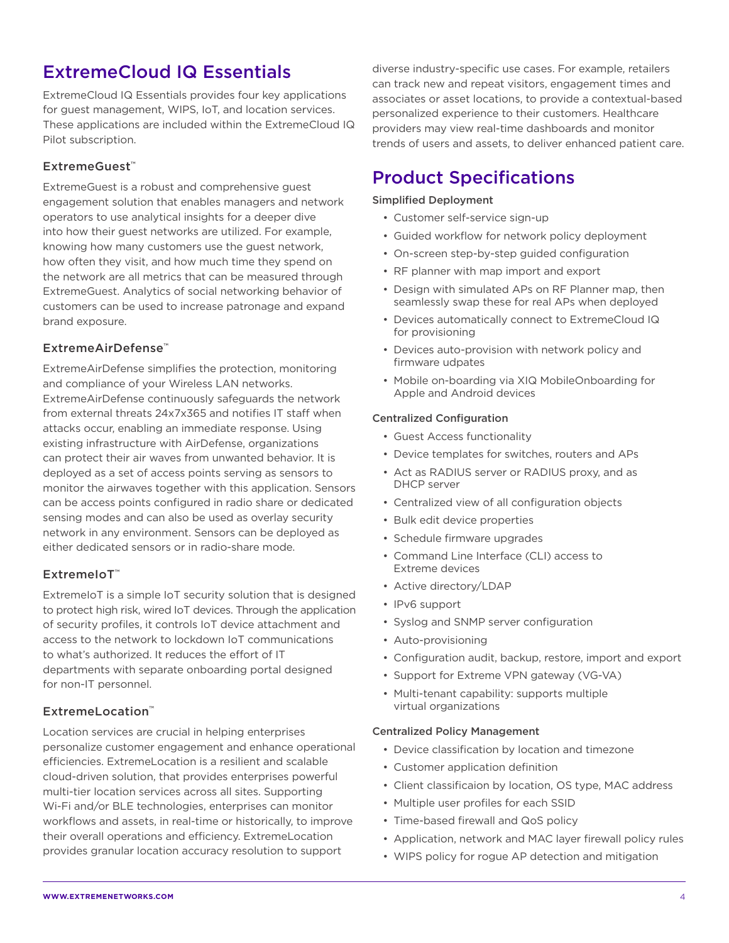# ExtremeCloud IQ Essentials

ExtremeCloud IQ Essentials provides four key applications for guest management, WIPS, IoT, and location services. These applications are included within the ExtremeCloud IQ Pilot subscription.

# ExtremeGuest™

ExtremeGuest is a robust and comprehensive guest engagement solution that enables managers and network operators to use analytical insights for a deeper dive into how their guest networks are utilized. For example, knowing how many customers use the guest network, how often they visit, and how much time they spend on the network are all metrics that can be measured through ExtremeGuest. Analytics of social networking behavior of customers can be used to increase patronage and expand brand exposure.

# ExtremeAirDefense™

ExtremeAirDefense simplifies the protection, monitoring and compliance of your Wireless LAN networks. ExtremeAirDefense continuously safeguards the network from external threats 24x7x365 and notifies IT staff when attacks occur, enabling an immediate response. Using existing infrastructure with AirDefense, organizations can protect their air waves from unwanted behavior. It is deployed as a set of access points serving as sensors to monitor the airwaves together with this application. Sensors can be access points configured in radio share or dedicated sensing modes and can also be used as overlay security network in any environment. Sensors can be deployed as either dedicated sensors or in radio-share mode.

# ExtremeIoT™

ExtremeIoT is a simple IoT security solution that is designed to protect high risk, wired IoT devices. Through the application of security profiles, it controls IoT device attachment and access to the network to lockdown IoT communications to what's authorized. It reduces the effort of IT departments with separate onboarding portal designed for non-IT personnel.

# ExtremeLocation™

Location services are crucial in helping enterprises personalize customer engagement and enhance operational efficiencies. ExtremeLocation is a resilient and scalable cloud-driven solution, that provides enterprises powerful multi-tier location services across all sites. Supporting Wi-Fi and/or BLE technologies, enterprises can monitor workflows and assets, in real-time or historically, to improve their overall operations and efficiency. ExtremeLocation provides granular location accuracy resolution to support

diverse industry-specific use cases. For example, retailers can track new and repeat visitors, engagement times and associates or asset locations, to provide a contextual-based personalized experience to their customers. Healthcare providers may view real-time dashboards and monitor trends of users and assets, to deliver enhanced patient care.

# Product Specifications

# Simplified Deployment

- Customer self-service sign-up
- Guided workflow for network policy deployment
- On-screen step-by-step guided configuration
- RF planner with map import and export
- Design with simulated APs on RF Planner map, then seamlessly swap these for real APs when deployed
- Devices automatically connect to ExtremeCloud IQ for provisioning
- Devices auto-provision with network policy and firmware udpates
- Mobile on-boarding via XIQ MobileOnboarding for Apple and Android devices

# Centralized Configuration

- Guest Access functionality
- Device templates for switches, routers and APs
- Act as RADIUS server or RADIUS proxy, and as DHCP server
- Centralized view of all configuration objects
- Bulk edit device properties
- Schedule firmware upgrades
- Command Line Interface (CLI) access to Extreme devices
- Active directory/LDAP
- IPv6 support
- Syslog and SNMP server configuration
- Auto-provisioning
- Configuration audit, backup, restore, import and export
- Support for Extreme VPN gateway (VG-VA)
- Multi-tenant capability: supports multiple virtual organizations

### Centralized Policy Management

- Device classification by location and timezone
- Customer application definition
- Client classificaion by location, OS type, MAC address
- Multiple user profiles for each SSID
- Time-based firewall and QoS policy
- Application, network and MAC layer firewall policy rules
- WIPS policy for rogue AP detection and mitigation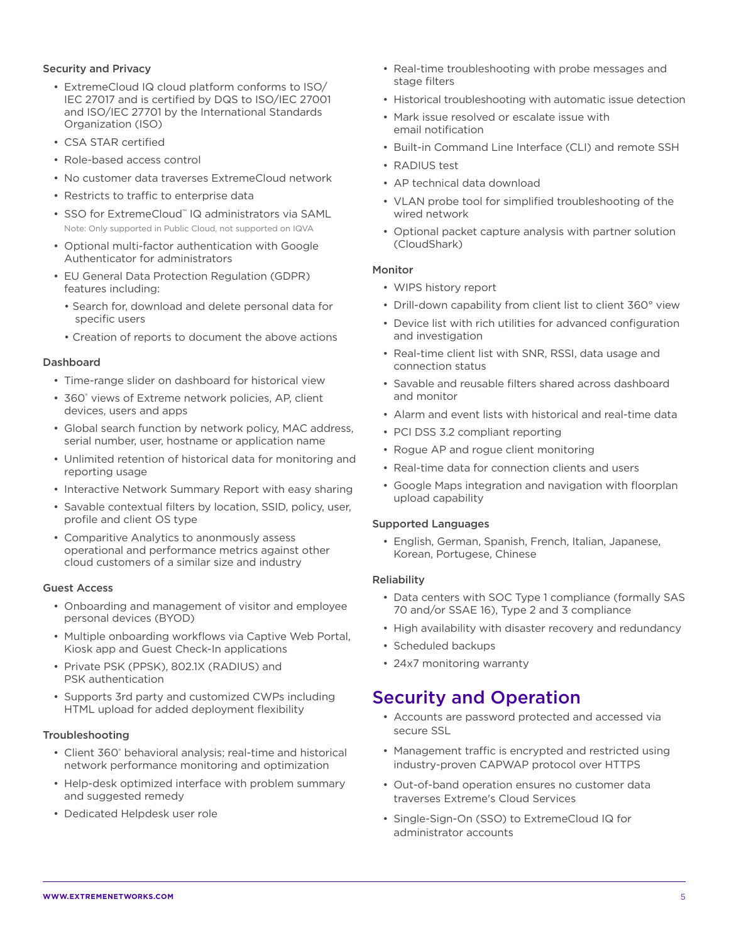# Security and Privacy

- ExtremeCloud IQ cloud platform conforms to ISO/ IEC 27017 and is certified by DQS to ISO/IEC 27001 and ISO/IEC 27701 by the International Standards Organization (ISO)
- CSA STAR certified
- Role-based access control
- No customer data traverses ExtremeCloud network
- Restricts to traffic to enterprise data
- SSO for ExtremeCloud™ IQ administrators via SAML Note: Only supported in Public Cloud, not supported on IQVA
- Optional multi-factor authentication with Google Authenticator for administrators
- EU General Data Protection Regulation (GDPR) features including:
	- Search for, download and delete personal data for specific users
	- Creation of reports to document the above actions

### Dashboard

- Time-range slider on dashboard for historical view
- 360° views of Extreme network policies, AP, client devices, users and apps
- Global search function by network policy, MAC address, serial number, user, hostname or application name
- Unlimited retention of historical data for monitoring and reporting usage
- Interactive Network Summary Report with easy sharing
- Savable contextual filters by location, SSID, policy, user, profile and client OS type
- Comparitive Analytics to anonmously assess operational and performance metrics against other cloud customers of a similar size and industry

# Guest Access

- Onboarding and management of visitor and employee personal devices (BYOD)
- Multiple onboarding workflows via Captive Web Portal, Kiosk app and Guest Check-In applications
- Private PSK (PPSK), 802.1X (RADIUS) and PSK authentication
- Supports 3rd party and customized CWPs including HTML upload for added deployment flexibility

### Troubleshooting

- Client 360° behavioral analysis; real-time and historical network performance monitoring and optimization
- Help-desk optimized interface with problem summary and suggested remedy
- Dedicated Helpdesk user role
- Real-time troubleshooting with probe messages and stage filters
- Historical troubleshooting with automatic issue detection
- Mark issue resolved or escalate issue with email notification
- Built-in Command Line Interface (CLI) and remote SSH
- RADIUS test
- AP technical data download
- VLAN probe tool for simplified troubleshooting of the wired network
- Optional packet capture analysis with partner solution (CloudShark)

### Monitor

- WIPS history report
- Drill-down capability from client list to client 360° view
- Device list with rich utilities for advanced configuration and investigation
- Real-time client list with SNR, RSSI, data usage and connection status
- Savable and reusable filters shared across dashboard and monitor
- Alarm and event lists with historical and real-time data
- PCI DSS 3.2 compliant reporting
- Rogue AP and rogue client monitoring
- Real-time data for connection clients and users
- Google Maps integration and navigation with floorplan upload capability

# Supported Languages

• English, German, Spanish, French, Italian, Japanese, Korean, Portugese, Chinese

### Reliability

- Data centers with SOC Type 1 compliance (formally SAS 70 and/or SSAE 16), Type 2 and 3 compliance
- High availability with disaster recovery and redundancy
- Scheduled backups
- 24x7 monitoring warranty

# Security and Operation

- Accounts are password protected and accessed via secure SSL
- Management traffic is encrypted and restricted using industry-proven CAPWAP protocol over HTTPS
- Out-of-band operation ensures no customer data traverses Extreme's Cloud Services
- Single-Sign-On (SSO) to ExtremeCloud IQ for administrator accounts